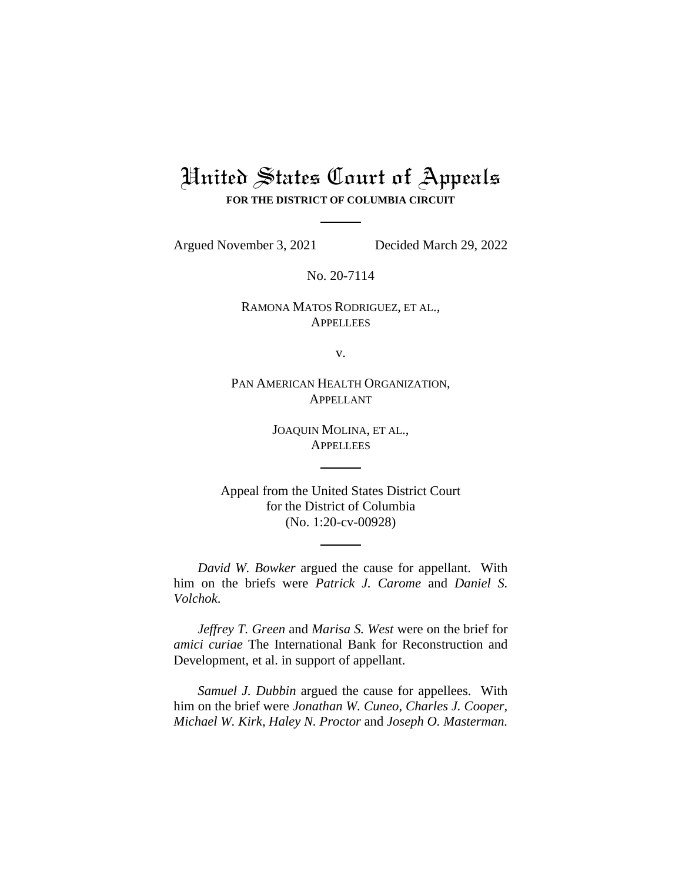# United States Court of Appeals **FOR THE DISTRICT OF COLUMBIA CIRCUIT**

Argued November 3, 2021 Decided March 29, 2022

No. 20-7114

RAMONA MATOS RODRIGUEZ, ET AL., **APPELLEES** 

v.

PAN AMERICAN HEALTH ORGANIZATION, APPELLANT

> JOAQUIN MOLINA, ET AL., **APPELLEES**

Appeal from the United States District Court for the District of Columbia (No. 1:20-cv-00928)

*David W. Bowker* argued the cause for appellant. With him on the briefs were *Patrick J. Carome* and *Daniel S. Volchok*.

*Jeffrey T. Green* and *Marisa S. West* were on the brief for *amici curiae* The International Bank for Reconstruction and Development, et al. in support of appellant.

*Samuel J. Dubbin* argued the cause for appellees. With him on the brief were *Jonathan W. Cuneo*, *Charles J. Cooper, Michael W. Kirk*, *Haley N. Proctor* and *Joseph O. Masterman.*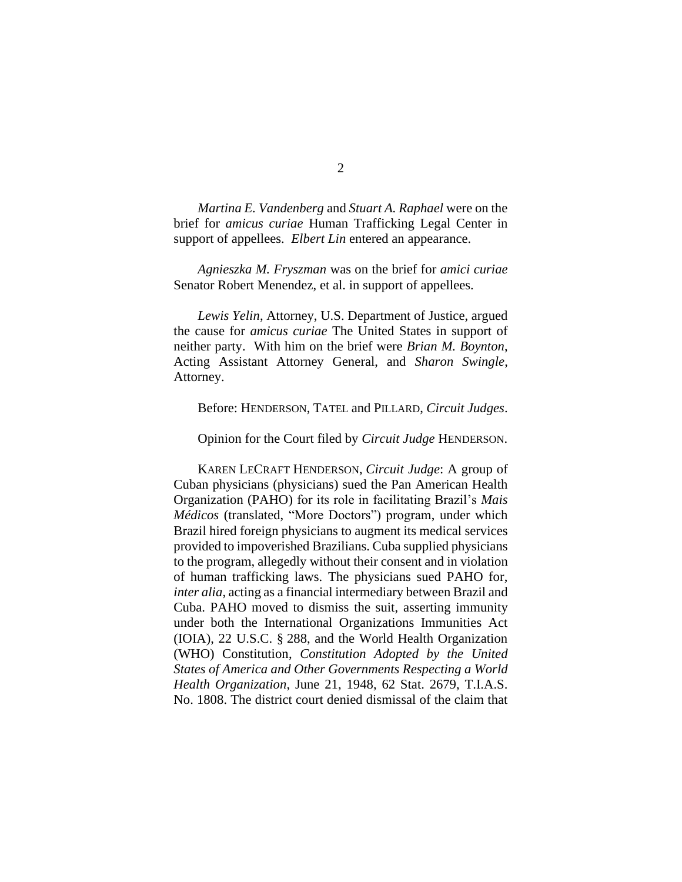*Martina E. Vandenberg* and *Stuart A. Raphael* were on the brief for *amicus curiae* Human Trafficking Legal Center in support of appellees. *Elbert Lin* entered an appearance.

*Agnieszka M. Fryszman* was on the brief for *amici curiae*  Senator Robert Menendez, et al. in support of appellees.

*Lewis Yelin*, Attorney, U.S. Department of Justice, argued the cause for *amicus curiae* The United States in support of neither party. With him on the brief were *Brian M. Boynton*, Acting Assistant Attorney General, and *Sharon Swingle*, Attorney.

Before: HENDERSON, TATEL and PILLARD, *Circuit Judges*.

Opinion for the Court filed by *Circuit Judge* HENDERSON.

KAREN LECRAFT HENDERSON, *Circuit Judge*: A group of Cuban physicians (physicians) sued the Pan American Health Organization (PAHO) for its role in facilitating Brazil's *Mais Médicos* (translated, "More Doctors") program, under which Brazil hired foreign physicians to augment its medical services provided to impoverished Brazilians. Cuba supplied physicians to the program, allegedly without their consent and in violation of human trafficking laws. The physicians sued PAHO for, *inter alia*, acting as a financial intermediary between Brazil and Cuba. PAHO moved to dismiss the suit, asserting immunity under both the International Organizations Immunities Act (IOIA), 22 U.S.C. § 288, and the World Health Organization (WHO) Constitution, *Constitution Adopted by the United States of America and Other Governments Respecting a World Health Organization*, June 21, 1948, 62 Stat. 2679, T.I.A.S. No. 1808. The district court denied dismissal of the claim that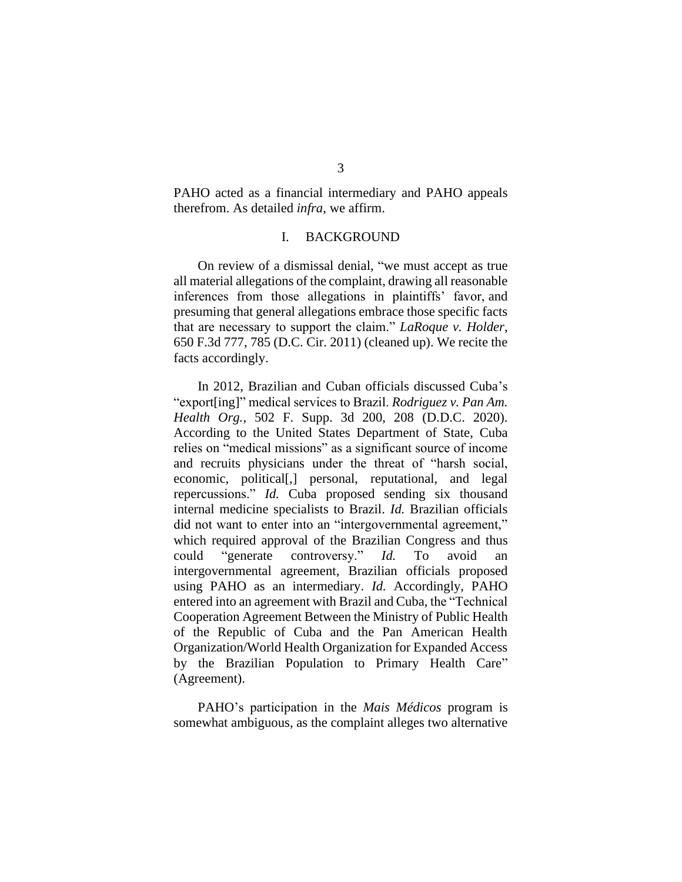PAHO acted as a financial intermediary and PAHO appeals therefrom. As detailed *infra*, we affirm.

# I. BACKGROUND

On review of a dismissal denial, "we must accept as true all material allegations of the complaint, drawing all reasonable inferences from those allegations in plaintiffs' favor, and presuming that general allegations embrace those specific facts that are necessary to support the claim." *LaRoque v. Holder*, 650 F.3d 777, 785 (D.C. Cir. 2011) (cleaned up). We recite the facts accordingly.

In 2012, Brazilian and Cuban officials discussed Cuba's "export[ing]" medical services to Brazil. *Rodriguez v. Pan Am. Health Org.*, 502 F. Supp. 3d 200, 208 (D.D.C. 2020). According to the United States Department of State, Cuba relies on "medical missions" as a significant source of income and recruits physicians under the threat of "harsh social, economic, political[,] personal, reputational, and legal repercussions." *Id.* Cuba proposed sending six thousand internal medicine specialists to Brazil. *Id.* Brazilian officials did not want to enter into an "intergovernmental agreement," which required approval of the Brazilian Congress and thus could "generate controversy." *Id.* To avoid intergovernmental agreement, Brazilian officials proposed using PAHO as an intermediary. *Id.* Accordingly, PAHO entered into an agreement with Brazil and Cuba, the "Technical Cooperation Agreement Between the Ministry of Public Health of the Republic of Cuba and the Pan American Health Organization/World Health Organization for Expanded Access by the Brazilian Population to Primary Health Care" (Agreement).

PAHO's participation in the *Mais Médicos* program is somewhat ambiguous, as the complaint alleges two alternative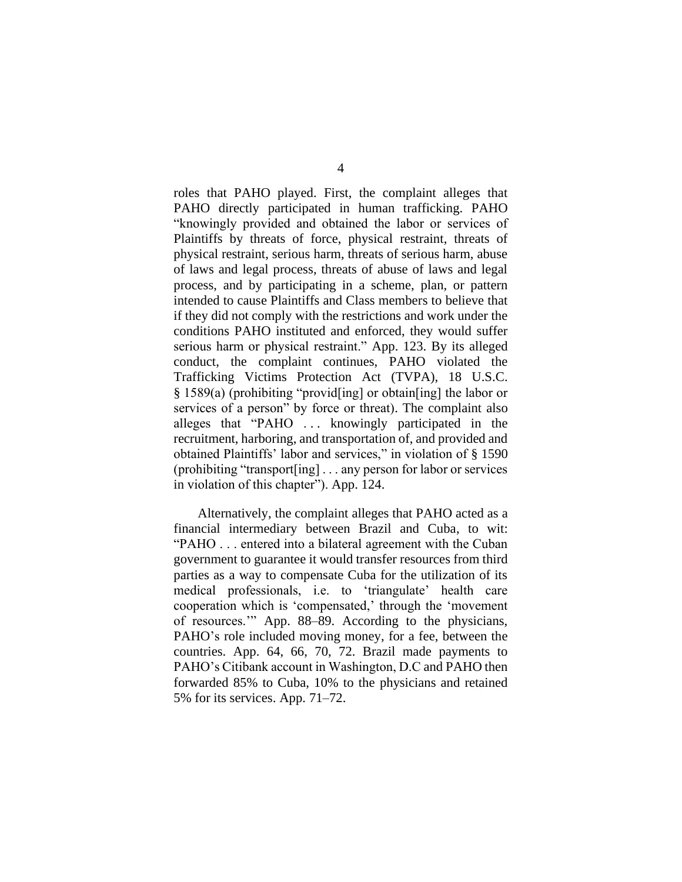roles that PAHO played. First, the complaint alleges that PAHO directly participated in human trafficking. PAHO "knowingly provided and obtained the labor or services of Plaintiffs by threats of force, physical restraint, threats of physical restraint, serious harm, threats of serious harm, abuse of laws and legal process, threats of abuse of laws and legal process, and by participating in a scheme, plan, or pattern intended to cause Plaintiffs and Class members to believe that if they did not comply with the restrictions and work under the conditions PAHO instituted and enforced, they would suffer serious harm or physical restraint." App. 123. By its alleged conduct, the complaint continues, PAHO violated the Trafficking Victims Protection Act (TVPA), 18 U.S.C. § 1589(a) (prohibiting "provid[ing] or obtain[ing] the labor or services of a person" by force or threat). The complaint also alleges that "PAHO . . . knowingly participated in the recruitment, harboring, and transportation of, and provided and obtained Plaintiffs' labor and services," in violation of § 1590 (prohibiting "transport[ing] . . . any person for labor or services in violation of this chapter"). App. 124.

Alternatively, the complaint alleges that PAHO acted as a financial intermediary between Brazil and Cuba, to wit: "PAHO . . . entered into a bilateral agreement with the Cuban government to guarantee it would transfer resources from third parties as a way to compensate Cuba for the utilization of its medical professionals, i.e. to 'triangulate' health care cooperation which is 'compensated,' through the 'movement of resources.'" App. 88–89. According to the physicians, PAHO's role included moving money, for a fee, between the countries. App. 64, 66, 70, 72. Brazil made payments to PAHO's Citibank account in Washington, D.C and PAHO then forwarded 85% to Cuba, 10% to the physicians and retained 5% for its services. App. 71–72.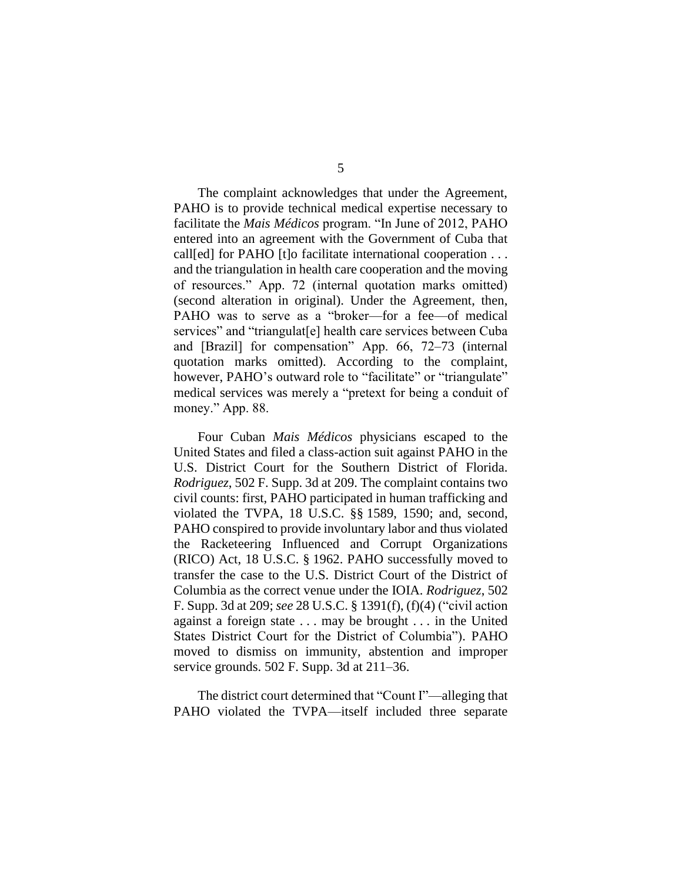The complaint acknowledges that under the Agreement, PAHO is to provide technical medical expertise necessary to facilitate the *Mais Médicos* program. "In June of 2012, PAHO entered into an agreement with the Government of Cuba that call[ed] for PAHO [t]o facilitate international cooperation . . . and the triangulation in health care cooperation and the moving of resources." App. 72 (internal quotation marks omitted) (second alteration in original). Under the Agreement, then, PAHO was to serve as a "broker—for a fee—of medical services" and "triangulat<sup>[e]</sup> health care services between Cuba and [Brazil] for compensation" App. 66, 72–73 (internal quotation marks omitted). According to the complaint, however, PAHO's outward role to "facilitate" or "triangulate" medical services was merely a "pretext for being a conduit of money." App. 88.

Four Cuban *Mais Médicos* physicians escaped to the United States and filed a class-action suit against PAHO in the U.S. District Court for the Southern District of Florida. *Rodriguez*, 502 F. Supp. 3d at 209. The complaint contains two civil counts: first, PAHO participated in human trafficking and violated the TVPA, 18 U.S.C. §§ 1589, 1590; and, second, PAHO conspired to provide involuntary labor and thus violated the Racketeering Influenced and Corrupt Organizations (RICO) Act, 18 U.S.C. § 1962. PAHO successfully moved to transfer the case to the U.S. District Court of the District of Columbia as the correct venue under the IOIA. *Rodriguez*, 502 F. Supp. 3d at 209; *see* 28 U.S.C. § 1391(f), (f)(4) ("civil action against a foreign state . . . may be brought . . . in the United States District Court for the District of Columbia"). PAHO moved to dismiss on immunity, abstention and improper service grounds. 502 F. Supp. 3d at 211–36.

The district court determined that "Count I"—alleging that PAHO violated the TVPA—itself included three separate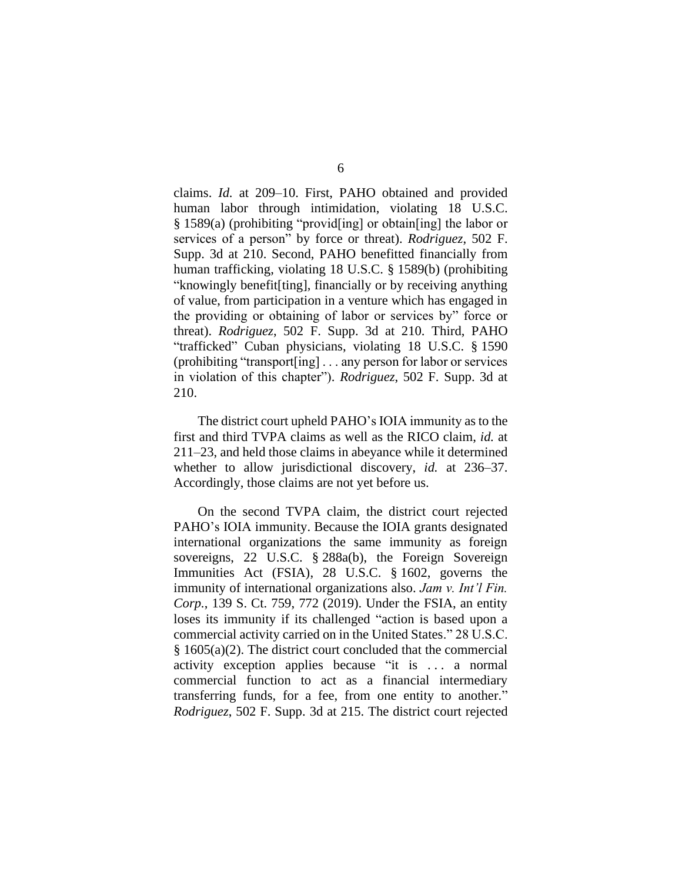claims. *Id.* at 209–10. First, PAHO obtained and provided human labor through intimidation, violating 18 U.S.C. § 1589(a) (prohibiting "provid[ing] or obtain[ing] the labor or services of a person" by force or threat). *Rodriguez*, 502 F. Supp. 3d at 210. Second, PAHO benefitted financially from human trafficking, violating 18 U.S.C. § 1589(b) (prohibiting "knowingly benefit[ting], financially or by receiving anything of value, from participation in a venture which has engaged in the providing or obtaining of labor or services by" force or threat). *Rodriguez*, 502 F. Supp. 3d at 210. Third, PAHO "trafficked" Cuban physicians, violating 18 U.S.C. § 1590 (prohibiting "transport[ing] . . . any person for labor or services in violation of this chapter"). *Rodriguez*, 502 F. Supp. 3d at 210.

The district court upheld PAHO's IOIA immunity as to the first and third TVPA claims as well as the RICO claim, *id.* at 211–23, and held those claims in abeyance while it determined whether to allow jurisdictional discovery, *id.* at 236–37. Accordingly, those claims are not yet before us.

On the second TVPA claim, the district court rejected PAHO's IOIA immunity. Because the IOIA grants designated international organizations the same immunity as foreign sovereigns, 22 U.S.C. § 288a(b), the Foreign Sovereign Immunities Act (FSIA), 28 U.S.C. § 1602, governs the immunity of international organizations also. *Jam v. Int'l Fin. Corp.*, 139 S. Ct. 759, 772 (2019). Under the FSIA, an entity loses its immunity if its challenged "action is based upon a commercial activity carried on in the United States." 28 U.S.C. § 1605(a)(2). The district court concluded that the commercial activity exception applies because "it is . . . a normal commercial function to act as a financial intermediary transferring funds, for a fee, from one entity to another." *Rodriguez*, 502 F. Supp. 3d at 215. The district court rejected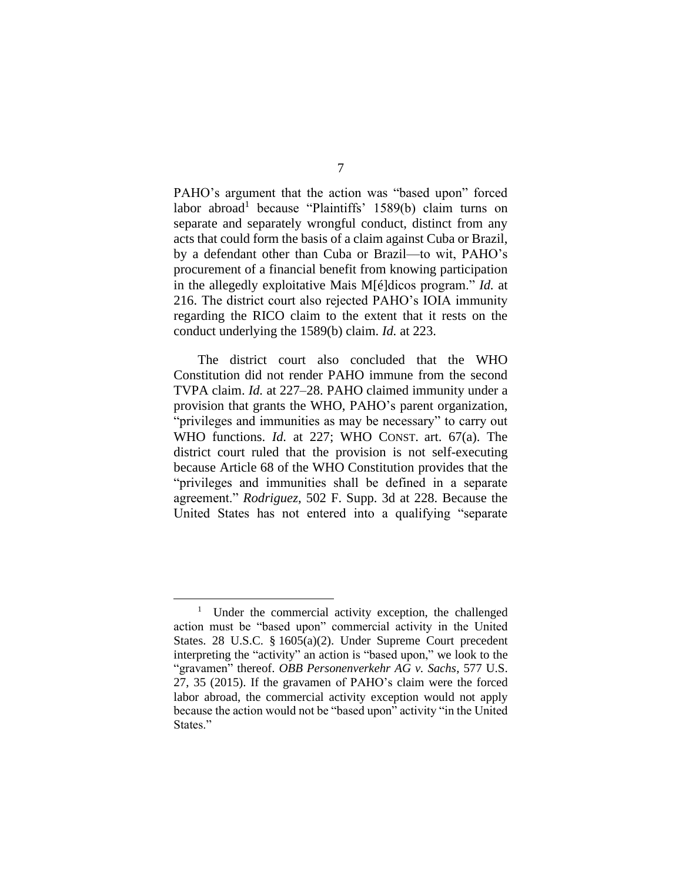PAHO's argument that the action was "based upon" forced labor abroad<sup>1</sup> because "Plaintiffs' 1589(b) claim turns on separate and separately wrongful conduct, distinct from any acts that could form the basis of a claim against Cuba or Brazil, by a defendant other than Cuba or Brazil—to wit, PAHO's procurement of a financial benefit from knowing participation in the allegedly exploitative Mais M[é]dicos program." *Id.* at 216. The district court also rejected PAHO's IOIA immunity regarding the RICO claim to the extent that it rests on the conduct underlying the 1589(b) claim. *Id.* at 223.

The district court also concluded that the WHO Constitution did not render PAHO immune from the second TVPA claim. *Id.* at 227–28. PAHO claimed immunity under a provision that grants the WHO, PAHO's parent organization, "privileges and immunities as may be necessary" to carry out WHO functions. *Id.* at 227; WHO CONST. art. 67(a). The district court ruled that the provision is not self-executing because Article 68 of the WHO Constitution provides that the "privileges and immunities shall be defined in a separate agreement." *Rodriguez*, 502 F. Supp. 3d at 228. Because the United States has not entered into a qualifying "separate

<sup>&</sup>lt;sup>1</sup> Under the commercial activity exception, the challenged action must be "based upon" commercial activity in the United States. 28 U.S.C. § 1605(a)(2). Under Supreme Court precedent interpreting the "activity" an action is "based upon," we look to the "gravamen" thereof. *OBB Personenverkehr AG v. Sachs*, 577 U.S. 27, 35 (2015). If the gravamen of PAHO's claim were the forced labor abroad, the commercial activity exception would not apply because the action would not be "based upon" activity "in the United States."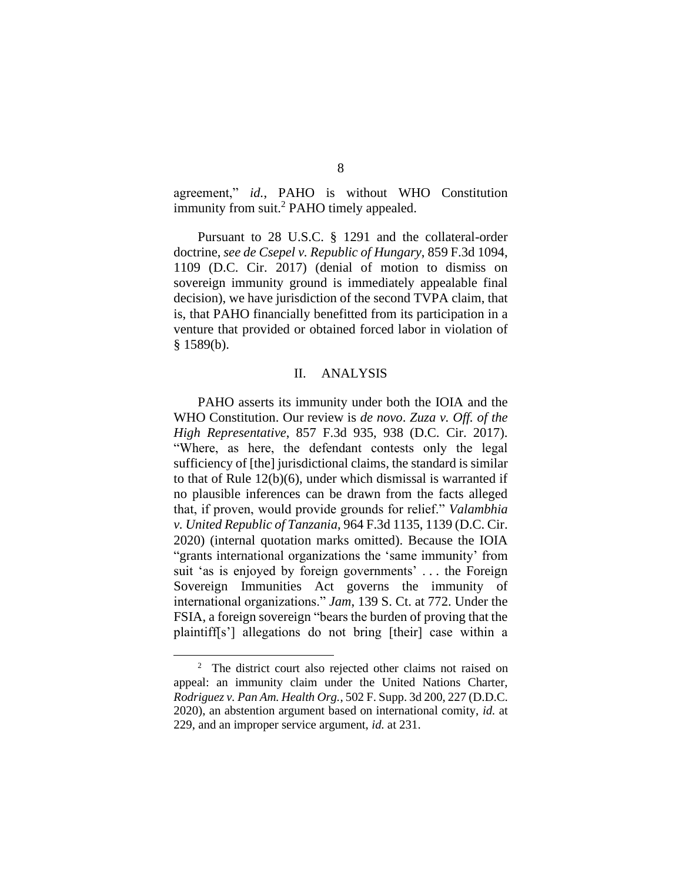agreement," *id.*, PAHO is without WHO Constitution immunity from suit.<sup>2</sup> PAHO timely appealed.

Pursuant to 28 U.S.C. § 1291 and the collateral-order doctrine, *see de Csepel v. Republic of Hungary*, 859 F.3d 1094, 1109 (D.C. Cir. 2017) (denial of motion to dismiss on sovereign immunity ground is immediately appealable final decision), we have jurisdiction of the second TVPA claim, that is, that PAHO financially benefitted from its participation in a venture that provided or obtained forced labor in violation of  $§$  1589(b).

# II. ANALYSIS

PAHO asserts its immunity under both the IOIA and the WHO Constitution. Our review is *de novo*. *Zuza v. Off. of the High Representative*, 857 F.3d 935, 938 (D.C. Cir. 2017). "Where, as here, the defendant contests only the legal sufficiency of [the] jurisdictional claims, the standard is similar to that of Rule 12(b)(6), under which dismissal is warranted if no plausible inferences can be drawn from the facts alleged that, if proven, would provide grounds for relief." *Valambhia v. United Republic of Tanzania*, 964 F.3d 1135, 1139 (D.C. Cir. 2020) (internal quotation marks omitted). Because the IOIA "grants international organizations the 'same immunity' from suit 'as is enjoyed by foreign governments' . . . the Foreign Sovereign Immunities Act governs the immunity of international organizations." *Jam*, 139 S. Ct. at 772. Under the FSIA, a foreign sovereign "bears the burden of proving that the plaintiff[s'] allegations do not bring [their] case within a

<sup>&</sup>lt;sup>2</sup> The district court also rejected other claims not raised on appeal: an immunity claim under the United Nations Charter, *Rodriguez v. Pan Am. Health Org.*, 502 F. Supp. 3d 200, 227 (D.D.C. 2020), an abstention argument based on international comity, *id.* at 229, and an improper service argument, *id.* at 231.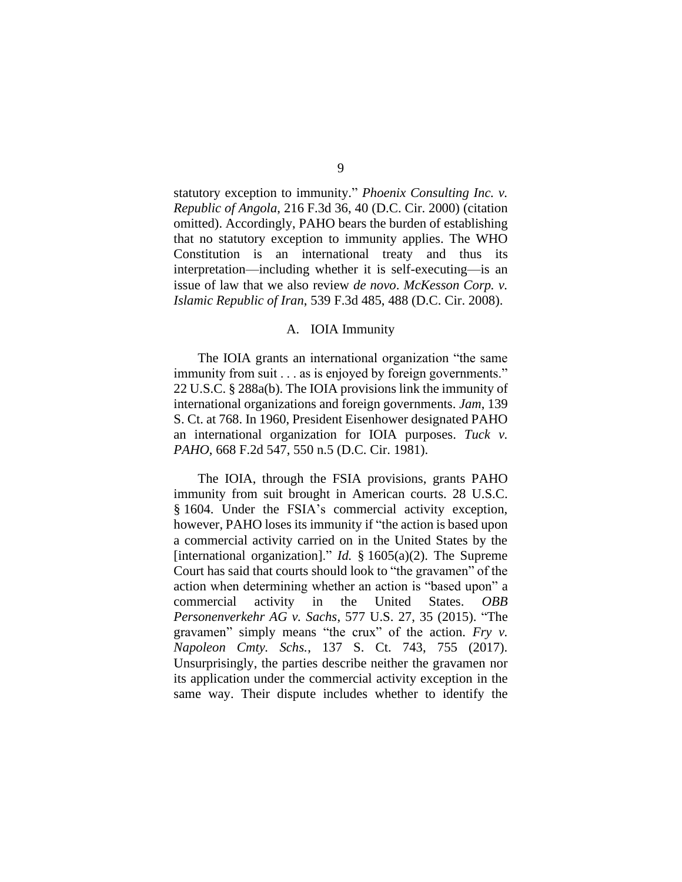statutory exception to immunity." *Phoenix Consulting Inc. v. Republic of Angola*, 216 F.3d 36, 40 (D.C. Cir. 2000) (citation omitted). Accordingly, PAHO bears the burden of establishing that no statutory exception to immunity applies. The WHO Constitution is an international treaty and thus its interpretation—including whether it is self-executing—is an issue of law that we also review *de novo*. *McKesson Corp. v. Islamic Republic of Iran*, 539 F.3d 485, 488 (D.C. Cir. 2008).

#### A. IOIA Immunity

The IOIA grants an international organization "the same immunity from suit . . . as is enjoyed by foreign governments." 22 U.S.C. § 288a(b). The IOIA provisions link the immunity of international organizations and foreign governments. *Jam*, 139 S. Ct. at 768. In 1960, President Eisenhower designated PAHO an international organization for IOIA purposes. *Tuck v. PAHO*, 668 F.2d 547, 550 n.5 (D.C. Cir. 1981).

The IOIA, through the FSIA provisions, grants PAHO immunity from suit brought in American courts. 28 U.S.C. § 1604. Under the FSIA's commercial activity exception, however, PAHO loses its immunity if "the action is based upon a commercial activity carried on in the United States by the [international organization]." *Id.* § 1605(a)(2). The Supreme Court has said that courts should look to "the gravamen" of the action when determining whether an action is "based upon" a commercial activity in the United States. *OBB Personenverkehr AG v. Sachs*, 577 U.S. 27, 35 (2015). "The gravamen" simply means "the crux" of the action. *Fry v. Napoleon Cmty. Schs.*, 137 S. Ct. 743, 755 (2017). Unsurprisingly, the parties describe neither the gravamen nor its application under the commercial activity exception in the same way. Their dispute includes whether to identify the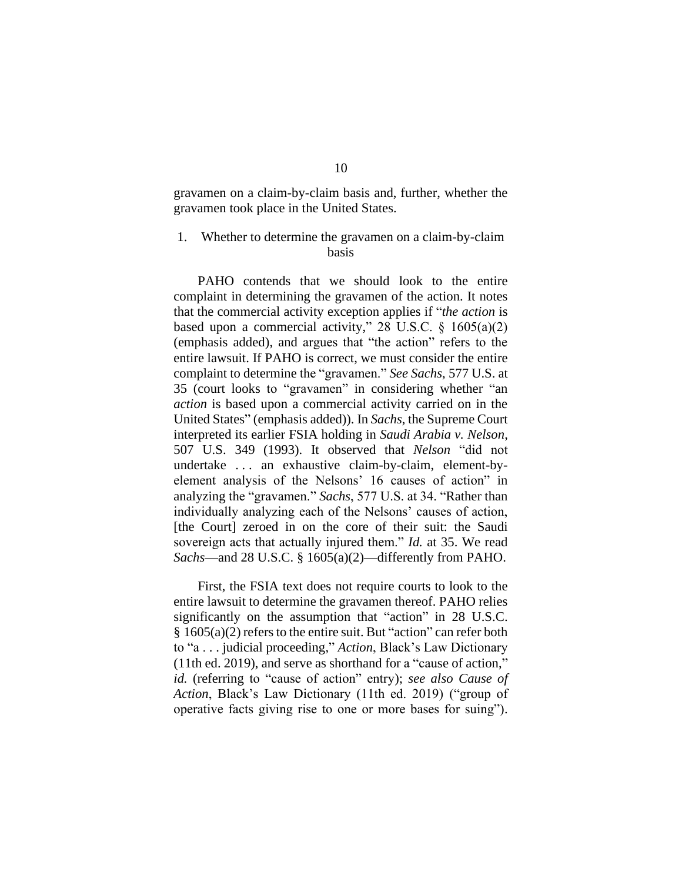gravamen on a claim-by-claim basis and, further, whether the gravamen took place in the United States.

# 1. Whether to determine the gravamen on a claim-by-claim basis

PAHO contends that we should look to the entire complaint in determining the gravamen of the action. It notes that the commercial activity exception applies if "*the action* is based upon a commercial activity," 28 U.S.C.  $\S$  1605(a)(2) (emphasis added), and argues that "the action" refers to the entire lawsuit. If PAHO is correct, we must consider the entire complaint to determine the "gravamen." *See Sachs*, 577 U.S. at 35 (court looks to "gravamen" in considering whether "an *action* is based upon a commercial activity carried on in the United States" (emphasis added)). In *Sachs*, the Supreme Court interpreted its earlier FSIA holding in *Saudi Arabia v. Nelson*, 507 U.S. 349 (1993). It observed that *Nelson* "did not undertake . . . an exhaustive claim-by-claim, element-byelement analysis of the Nelsons' 16 causes of action" in analyzing the "gravamen." *Sachs*, 577 U.S. at 34. "Rather than individually analyzing each of the Nelsons' causes of action, [the Court] zeroed in on the core of their suit: the Saudi sovereign acts that actually injured them." *Id.* at 35. We read *Sachs*—and 28 U.S.C. § 1605(a)(2)—differently from PAHO.

First, the FSIA text does not require courts to look to the entire lawsuit to determine the gravamen thereof. PAHO relies significantly on the assumption that "action" in 28 U.S.C. § 1605(a)(2) refers to the entire suit. But "action" can refer both to "a . . . judicial proceeding," *Action*, Black's Law Dictionary (11th ed. 2019), and serve as shorthand for a "cause of action," *id.* (referring to "cause of action" entry); *see also Cause of Action*, Black's Law Dictionary (11th ed. 2019) ("group of operative facts giving rise to one or more bases for suing").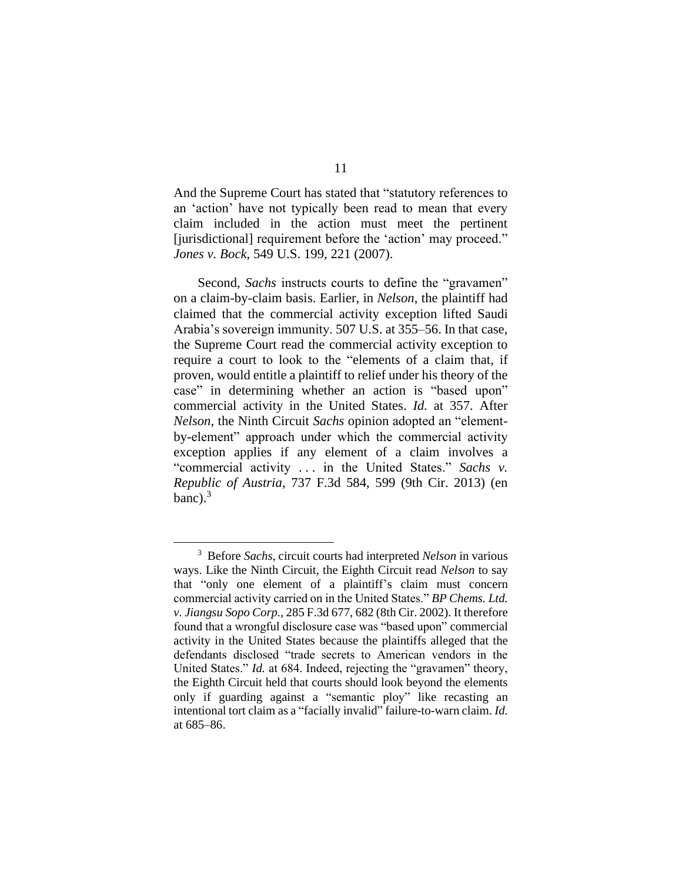And the Supreme Court has stated that "statutory references to an 'action' have not typically been read to mean that every claim included in the action must meet the pertinent [jurisdictional] requirement before the 'action' may proceed." *Jones v. Bock*, 549 U.S. 199, 221 (2007).

Second, *Sachs* instructs courts to define the "gravamen" on a claim-by-claim basis. Earlier, in *Nelson*, the plaintiff had claimed that the commercial activity exception lifted Saudi Arabia's sovereign immunity. 507 U.S. at 355–56. In that case, the Supreme Court read the commercial activity exception to require a court to look to the "elements of a claim that, if proven, would entitle a plaintiff to relief under his theory of the case" in determining whether an action is "based upon" commercial activity in the United States. *Id.* at 357. After *Nelson*, the Ninth Circuit *Sachs* opinion adopted an "elementby-element" approach under which the commercial activity exception applies if any element of a claim involves a "commercial activity . . . in the United States." *Sachs v. Republic of Austria*, 737 F.3d 584, 599 (9th Cir. 2013) (en banc). $3$ 

<sup>3</sup> Before *Sachs*, circuit courts had interpreted *Nelson* in various ways. Like the Ninth Circuit, the Eighth Circuit read *Nelson* to say that "only one element of a plaintiff's claim must concern commercial activity carried on in the United States." *BP Chems. Ltd. v. Jiangsu Sopo Corp.*, 285 F.3d 677, 682 (8th Cir. 2002). It therefore found that a wrongful disclosure case was "based upon" commercial activity in the United States because the plaintiffs alleged that the defendants disclosed "trade secrets to American vendors in the United States." *Id.* at 684. Indeed, rejecting the "gravamen" theory, the Eighth Circuit held that courts should look beyond the elements only if guarding against a "semantic ploy" like recasting an intentional tort claim as a "facially invalid" failure-to-warn claim. *Id.*  at 685–86.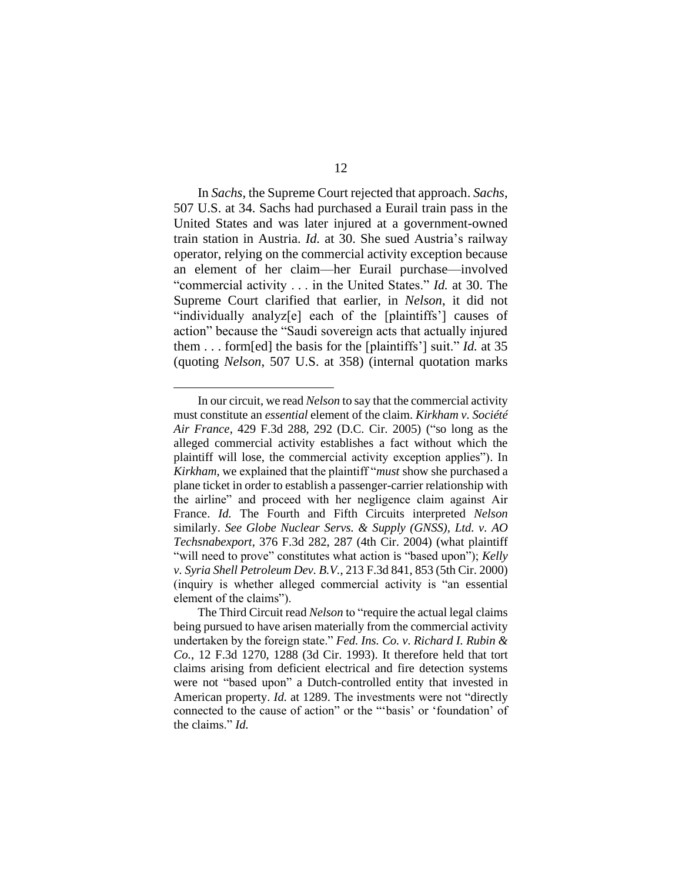In *Sachs*, the Supreme Court rejected that approach. *Sachs*, 507 U.S. at 34. Sachs had purchased a Eurail train pass in the United States and was later injured at a government-owned train station in Austria. *Id.* at 30. She sued Austria's railway operator, relying on the commercial activity exception because an element of her claim—her Eurail purchase—involved "commercial activity . . . in the United States." *Id.* at 30. The Supreme Court clarified that earlier, in *Nelson*, it did not "individually analyz[e] each of the [plaintiffs'] causes of action" because the "Saudi sovereign acts that actually injured them . . . form[ed] the basis for the [plaintiffs'] suit." *Id.* at 35 (quoting *Nelson*, 507 U.S. at 358) (internal quotation marks

In our circuit, we read *Nelson* to say that the commercial activity must constitute an *essential* element of the claim. *Kirkham v. Société Air France*, 429 F.3d 288, 292 (D.C. Cir. 2005) ("so long as the alleged commercial activity establishes a fact without which the plaintiff will lose, the commercial activity exception applies"). In *Kirkham*, we explained that the plaintiff "*must* show she purchased a plane ticket in order to establish a passenger-carrier relationship with the airline" and proceed with her negligence claim against Air France. *Id.* The Fourth and Fifth Circuits interpreted *Nelson*  similarly. *See Globe Nuclear Servs. & Supply (GNSS), Ltd. v. AO Techsnabexport*, 376 F.3d 282, 287 (4th Cir. 2004) (what plaintiff "will need to prove" constitutes what action is "based upon"); *Kelly v. Syria Shell Petroleum Dev. B.V.*, 213 F.3d 841, 853 (5th Cir. 2000) (inquiry is whether alleged commercial activity is "an essential element of the claims").

The Third Circuit read *Nelson* to "require the actual legal claims being pursued to have arisen materially from the commercial activity undertaken by the foreign state." *Fed. Ins. Co. v. Richard I. Rubin & Co.*, 12 F.3d 1270, 1288 (3d Cir. 1993). It therefore held that tort claims arising from deficient electrical and fire detection systems were not "based upon" a Dutch-controlled entity that invested in American property. *Id.* at 1289. The investments were not "directly connected to the cause of action" or the "'basis' or 'foundation' of the claims." *Id.*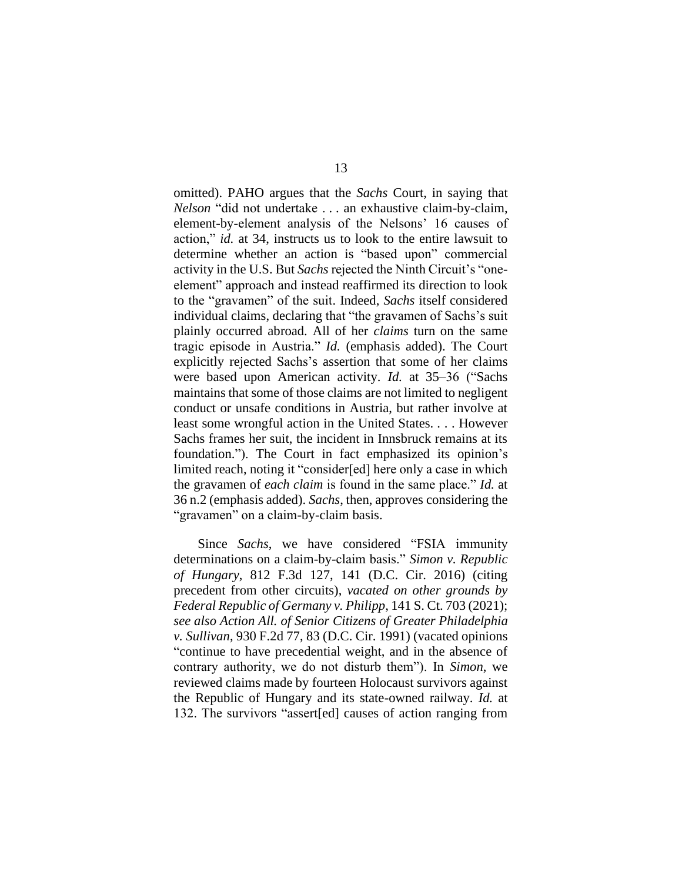omitted). PAHO argues that the *Sachs* Court, in saying that *Nelson* "did not undertake . . . an exhaustive claim-by-claim, element-by-element analysis of the Nelsons' 16 causes of action," *id.* at 34, instructs us to look to the entire lawsuit to determine whether an action is "based upon" commercial activity in the U.S. But *Sachs* rejected the Ninth Circuit's "oneelement" approach and instead reaffirmed its direction to look to the "gravamen" of the suit. Indeed, *Sachs* itself considered individual claims, declaring that "the gravamen of Sachs's suit plainly occurred abroad. All of her *claims* turn on the same tragic episode in Austria." *Id.* (emphasis added). The Court explicitly rejected Sachs's assertion that some of her claims were based upon American activity. *Id.* at 35–36 ("Sachs maintains that some of those claims are not limited to negligent conduct or unsafe conditions in Austria, but rather involve at least some wrongful action in the United States. . . . However Sachs frames her suit, the incident in Innsbruck remains at its foundation."). The Court in fact emphasized its opinion's limited reach, noting it "consider[ed] here only a case in which the gravamen of *each claim* is found in the same place." *Id.* at 36 n.2 (emphasis added). *Sachs*, then, approves considering the "gravamen" on a claim-by-claim basis.

Since *Sachs*, we have considered "FSIA immunity determinations on a claim-by-claim basis." *Simon v. Republic of Hungary*, 812 F.3d 127, 141 (D.C. Cir. 2016) (citing precedent from other circuits), *vacated on other grounds by Federal Republic of Germany v. Philipp*, 141 S. Ct. 703 (2021); *see also Action All. of Senior Citizens of Greater Philadelphia v. Sullivan*, 930 F.2d 77, 83 (D.C. Cir. 1991) (vacated opinions "continue to have precedential weight, and in the absence of contrary authority, we do not disturb them"). In *Simon*, we reviewed claims made by fourteen Holocaust survivors against the Republic of Hungary and its state-owned railway. *Id.* at 132. The survivors "assert[ed] causes of action ranging from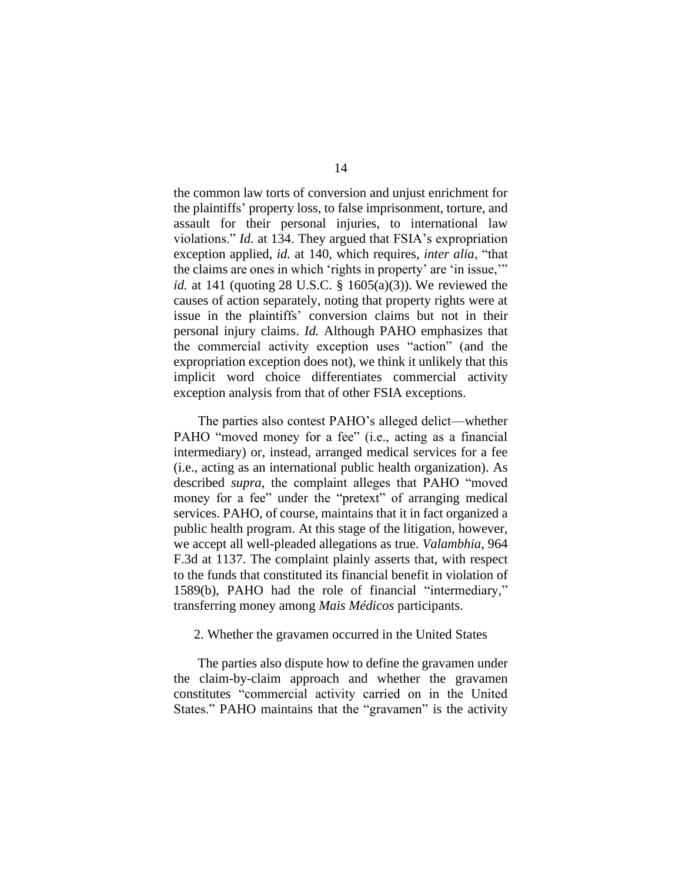the common law torts of conversion and unjust enrichment for the plaintiffs' property loss, to false imprisonment, torture, and assault for their personal injuries, to international law violations." *Id.* at 134. They argued that FSIA's expropriation exception applied, *id.* at 140*,* which requires, *inter alia*, "that the claims are ones in which 'rights in property' are 'in issue,'" *id.* at 141 (quoting 28 U.S.C. § 1605(a)(3)). We reviewed the causes of action separately, noting that property rights were at issue in the plaintiffs' conversion claims but not in their personal injury claims. *Id.* Although PAHO emphasizes that the commercial activity exception uses "action" (and the expropriation exception does not), we think it unlikely that this implicit word choice differentiates commercial activity exception analysis from that of other FSIA exceptions.

The parties also contest PAHO's alleged delict—whether PAHO "moved money for a fee" (i.e., acting as a financial intermediary) or, instead, arranged medical services for a fee (i.e., acting as an international public health organization). As described *supra*, the complaint alleges that PAHO "moved money for a fee" under the "pretext" of arranging medical services. PAHO, of course, maintains that it in fact organized a public health program. At this stage of the litigation, however, we accept all well-pleaded allegations as true. *Valambhia*, 964 F.3d at 1137. The complaint plainly asserts that, with respect to the funds that constituted its financial benefit in violation of 1589(b), PAHO had the role of financial "intermediary," transferring money among *Mais Médicos* participants.

# 2. Whether the gravamen occurred in the United States

The parties also dispute how to define the gravamen under the claim-by-claim approach and whether the gravamen constitutes "commercial activity carried on in the United States." PAHO maintains that the "gravamen" is the activity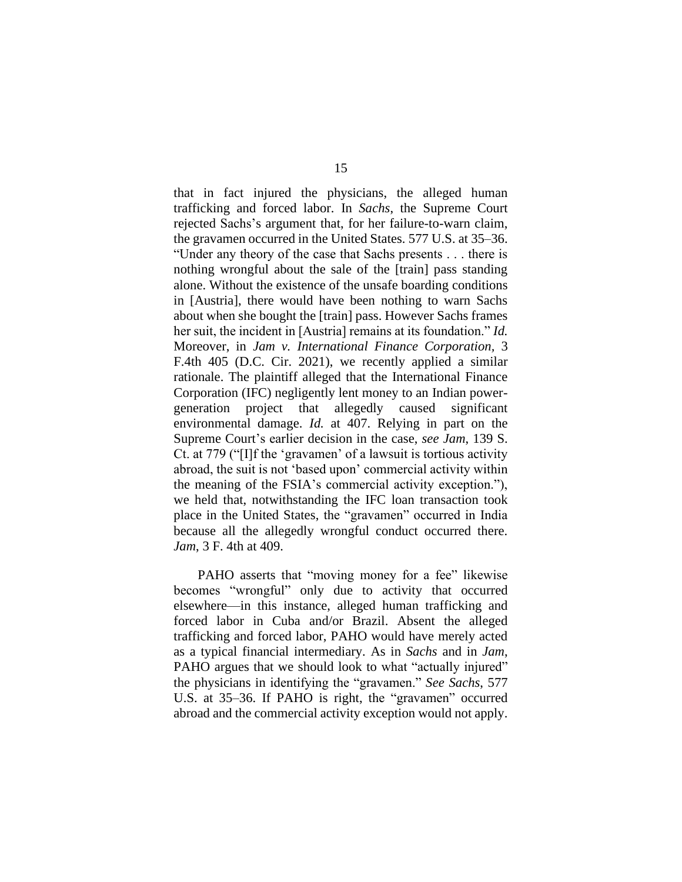that in fact injured the physicians, the alleged human trafficking and forced labor. In *Sachs*, the Supreme Court rejected Sachs's argument that, for her failure-to-warn claim, the gravamen occurred in the United States. 577 U.S. at 35–36. "Under any theory of the case that Sachs presents . . . there is nothing wrongful about the sale of the [train] pass standing alone. Without the existence of the unsafe boarding conditions in [Austria], there would have been nothing to warn Sachs about when she bought the [train] pass. However Sachs frames her suit, the incident in [Austria] remains at its foundation." *Id.* Moreover, in *Jam v. International Finance Corporation,* 3 F.4th 405 (D.C. Cir. 2021), we recently applied a similar rationale. The plaintiff alleged that the International Finance Corporation (IFC) negligently lent money to an Indian powergeneration project that allegedly caused significant environmental damage. *Id.* at 407. Relying in part on the Supreme Court's earlier decision in the case, *see Jam*, 139 S. Ct. at 779 ("[I]f the 'gravamen' of a lawsuit is tortious activity abroad, the suit is not 'based upon' commercial activity within the meaning of the FSIA's commercial activity exception."), we held that, notwithstanding the IFC loan transaction took place in the United States, the "gravamen" occurred in India because all the allegedly wrongful conduct occurred there. *Jam*, 3 F. 4th at 409.

PAHO asserts that "moving money for a fee" likewise becomes "wrongful" only due to activity that occurred elsewhere—in this instance, alleged human trafficking and forced labor in Cuba and/or Brazil. Absent the alleged trafficking and forced labor, PAHO would have merely acted as a typical financial intermediary. As in *Sachs* and in *Jam*, PAHO argues that we should look to what "actually injured" the physicians in identifying the "gravamen." *See Sachs*, 577 U.S. at 35–36. If PAHO is right, the "gravamen" occurred abroad and the commercial activity exception would not apply.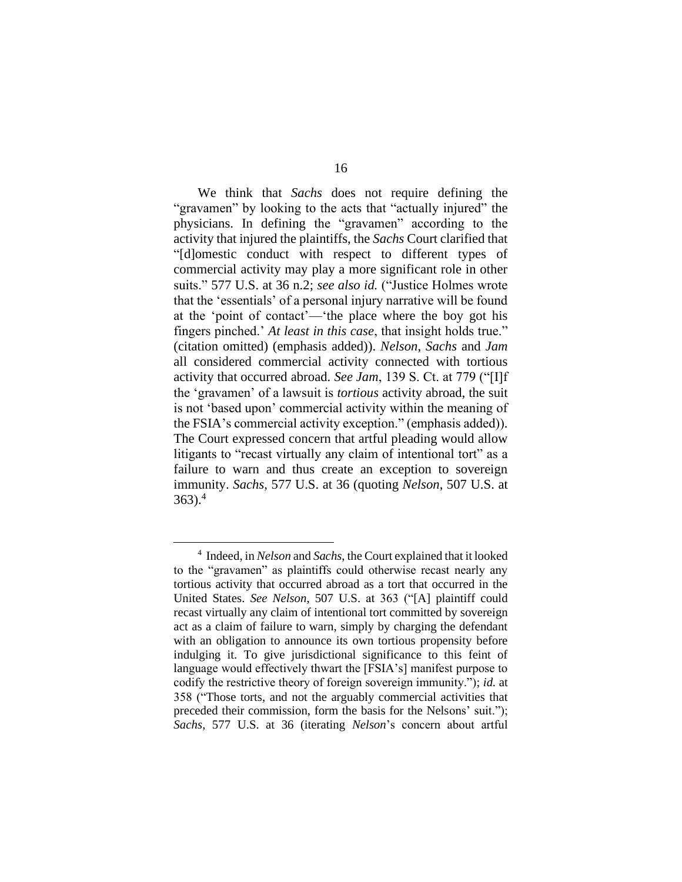We think that *Sachs* does not require defining the "gravamen" by looking to the acts that "actually injured" the physicians. In defining the "gravamen" according to the activity that injured the plaintiffs, the *Sachs* Court clarified that "[d]omestic conduct with respect to different types of commercial activity may play a more significant role in other suits." 577 U.S. at 36 n.2; *see also id.* ("Justice Holmes wrote that the 'essentials' of a personal injury narrative will be found at the 'point of contact'—'the place where the boy got his fingers pinched.' *At least in this case*, that insight holds true." (citation omitted) (emphasis added)). *Nelson*, *Sachs* and *Jam*  all considered commercial activity connected with tortious activity that occurred abroad. *See Jam*, 139 S. Ct. at 779 ("[I]f the 'gravamen' of a lawsuit is *tortious* activity abroad, the suit is not 'based upon' commercial activity within the meaning of the FSIA's commercial activity exception." (emphasis added)). The Court expressed concern that artful pleading would allow litigants to "recast virtually any claim of intentional tort" as a failure to warn and thus create an exception to sovereign immunity. *Sachs*, 577 U.S. at 36 (quoting *Nelson*, 507 U.S. at  $363$ .<sup>4</sup>

<sup>4</sup> Indeed, in *Nelson* and *Sachs*, the Court explained that it looked to the "gravamen" as plaintiffs could otherwise recast nearly any tortious activity that occurred abroad as a tort that occurred in the United States. *See Nelson*, 507 U.S. at 363 ("[A] plaintiff could recast virtually any claim of intentional tort committed by sovereign act as a claim of failure to warn, simply by charging the defendant with an obligation to announce its own tortious propensity before indulging it. To give jurisdictional significance to this feint of language would effectively thwart the [FSIA's] manifest purpose to codify the restrictive theory of foreign sovereign immunity."); *id.* at 358 ("Those torts, and not the arguably commercial activities that preceded their commission, form the basis for the Nelsons' suit."); *Sachs*, 577 U.S. at 36 (iterating *Nelson*'s concern about artful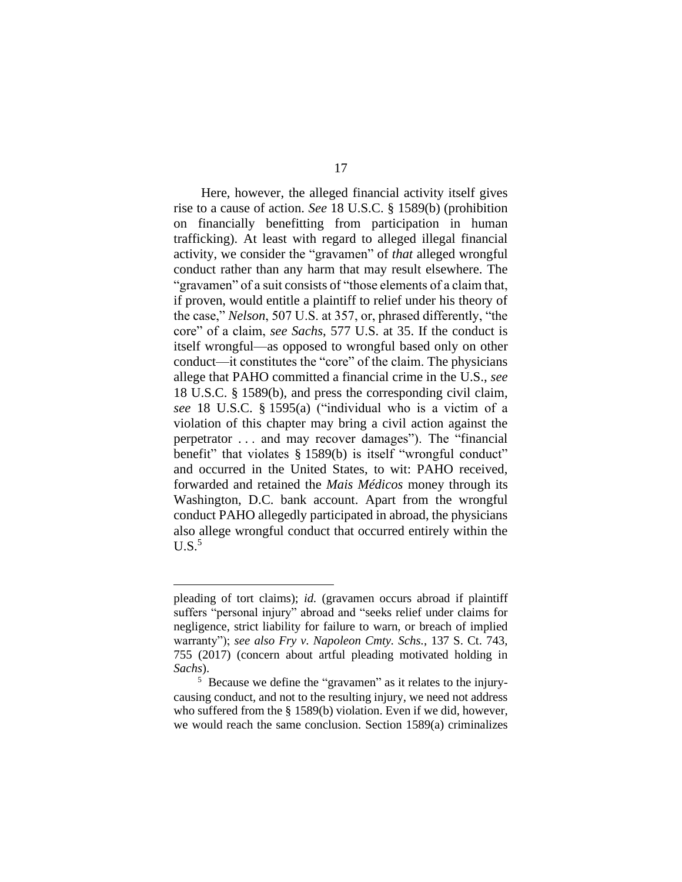Here, however, the alleged financial activity itself gives rise to a cause of action. *See* 18 U.S.C. § 1589(b) (prohibition on financially benefitting from participation in human trafficking). At least with regard to alleged illegal financial activity, we consider the "gravamen" of *that* alleged wrongful conduct rather than any harm that may result elsewhere. The "gravamen" of a suit consists of "those elements of a claim that, if proven, would entitle a plaintiff to relief under his theory of the case," *Nelson*, 507 U.S. at 357, or, phrased differently, "the core" of a claim, *see Sachs*, 577 U.S. at 35. If the conduct is itself wrongful—as opposed to wrongful based only on other conduct—it constitutes the "core" of the claim. The physicians allege that PAHO committed a financial crime in the U.S., *see*  18 U.S.C. § 1589(b), and press the corresponding civil claim, *see* 18 U.S.C. § 1595(a) ("individual who is a victim of a violation of this chapter may bring a civil action against the perpetrator . . . and may recover damages"). The "financial benefit" that violates § 1589(b) is itself "wrongful conduct" and occurred in the United States, to wit: PAHO received, forwarded and retained the *Mais Médicos* money through its Washington, D.C. bank account. Apart from the wrongful conduct PAHO allegedly participated in abroad, the physicians also allege wrongful conduct that occurred entirely within the  $U.S.<sup>5</sup>$ 

pleading of tort claims); *id.* (gravamen occurs abroad if plaintiff suffers "personal injury" abroad and "seeks relief under claims for negligence, strict liability for failure to warn, or breach of implied warranty"); *see also Fry v. Napoleon Cmty. Schs.*, 137 S. Ct. 743, 755 (2017) (concern about artful pleading motivated holding in *Sachs*).

<sup>&</sup>lt;sup>5</sup> Because we define the "gravamen" as it relates to the injurycausing conduct, and not to the resulting injury, we need not address who suffered from the § 1589(b) violation. Even if we did, however, we would reach the same conclusion. Section 1589(a) criminalizes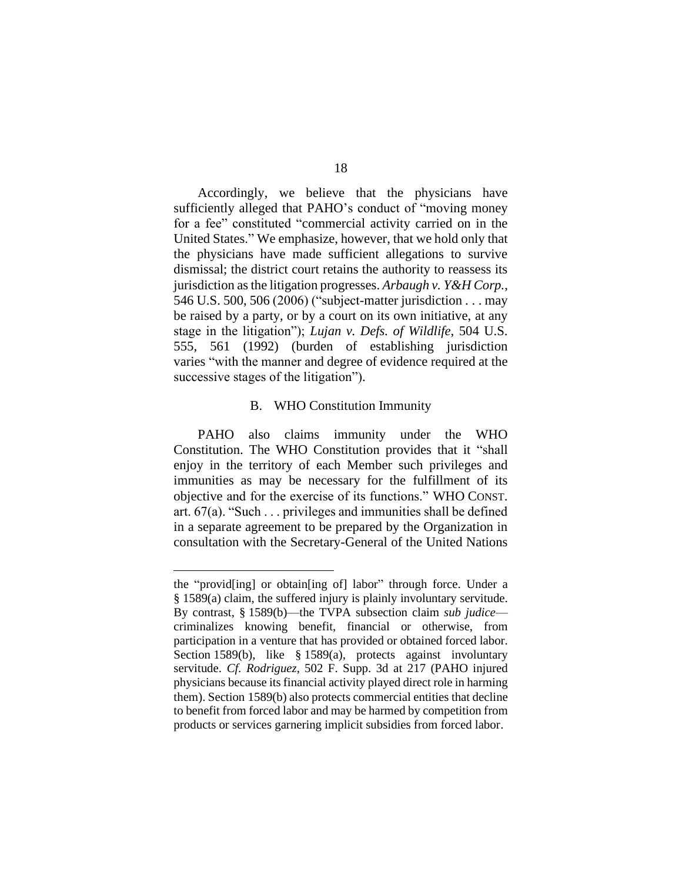Accordingly, we believe that the physicians have sufficiently alleged that PAHO's conduct of "moving money for a fee" constituted "commercial activity carried on in the United States." We emphasize, however, that we hold only that the physicians have made sufficient allegations to survive dismissal; the district court retains the authority to reassess its jurisdiction as the litigation progresses. *Arbaugh v. Y&H Corp.*, 546 U.S. 500, 506 (2006) ("subject-matter jurisdiction . . . may be raised by a party, or by a court on its own initiative, at any stage in the litigation"); *Lujan v. Defs. of Wildlife*, 504 U.S. 555, 561 (1992) (burden of establishing jurisdiction varies "with the manner and degree of evidence required at the successive stages of the litigation").

# B. WHO Constitution Immunity

PAHO also claims immunity under the WHO Constitution. The WHO Constitution provides that it "shall enjoy in the territory of each Member such privileges and immunities as may be necessary for the fulfillment of its objective and for the exercise of its functions." WHO CONST. art.  $67(a)$ . "Such . . . privileges and immunities shall be defined in a separate agreement to be prepared by the Organization in consultation with the Secretary-General of the United Nations

the "provid[ing] or obtain[ing of] labor" through force. Under a § 1589(a) claim, the suffered injury is plainly involuntary servitude. By contrast, § 1589(b)—the TVPA subsection claim *sub judice* criminalizes knowing benefit, financial or otherwise, from participation in a venture that has provided or obtained forced labor. Section 1589(b), like § 1589(a), protects against involuntary servitude. *Cf. Rodriguez*, 502 F. Supp. 3d at 217 (PAHO injured physicians because its financial activity played direct role in harming them). Section 1589(b) also protects commercial entities that decline to benefit from forced labor and may be harmed by competition from products or services garnering implicit subsidies from forced labor.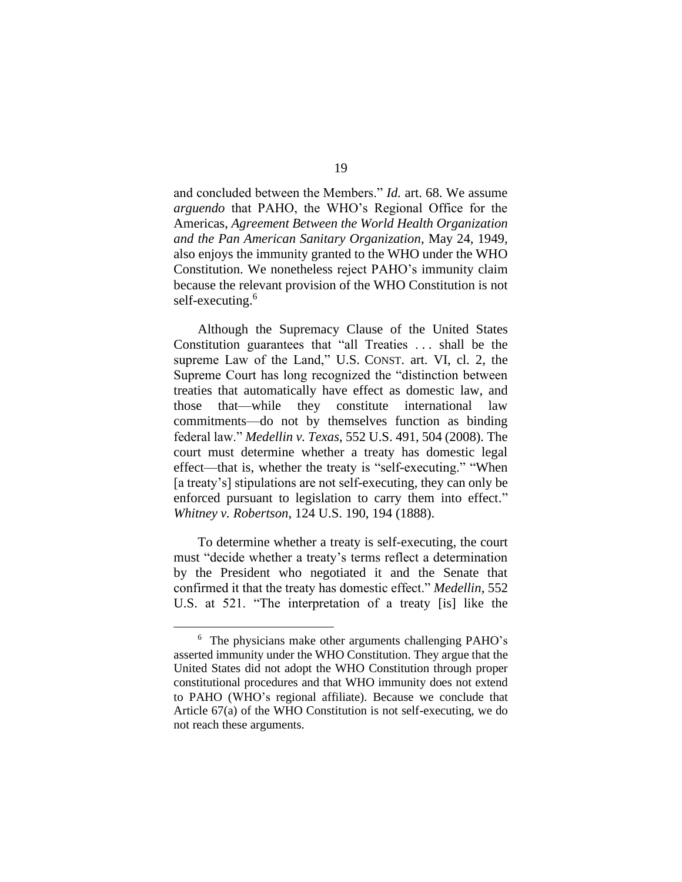and concluded between the Members." *Id.* art. 68. We assume *arguendo* that PAHO, the WHO's Regional Office for the Americas, *Agreement Between the World Health Organization and the Pan American Sanitary Organization*, May 24, 1949, also enjoys the immunity granted to the WHO under the WHO Constitution. We nonetheless reject PAHO's immunity claim because the relevant provision of the WHO Constitution is not self-executing.<sup>6</sup>

Although the Supremacy Clause of the United States Constitution guarantees that "all Treaties . . . shall be the supreme Law of the Land," U.S. CONST. art. VI, cl. 2, the Supreme Court has long recognized the "distinction between treaties that automatically have effect as domestic law, and those that—while they constitute international law commitments—do not by themselves function as binding federal law." *Medellin v. Texas*, 552 U.S. 491, 504 (2008). The court must determine whether a treaty has domestic legal effect—that is, whether the treaty is "self-executing." "When [a treaty's] stipulations are not self-executing, they can only be enforced pursuant to legislation to carry them into effect." *Whitney v. Robertson*, 124 U.S. 190, 194 (1888).

To determine whether a treaty is self-executing, the court must "decide whether a treaty's terms reflect a determination by the President who negotiated it and the Senate that confirmed it that the treaty has domestic effect." *Medellin*, 552 U.S. at 521. "The interpretation of a treaty [is] like the

<sup>6</sup> The physicians make other arguments challenging PAHO's asserted immunity under the WHO Constitution. They argue that the United States did not adopt the WHO Constitution through proper constitutional procedures and that WHO immunity does not extend to PAHO (WHO's regional affiliate). Because we conclude that Article 67(a) of the WHO Constitution is not self-executing, we do not reach these arguments.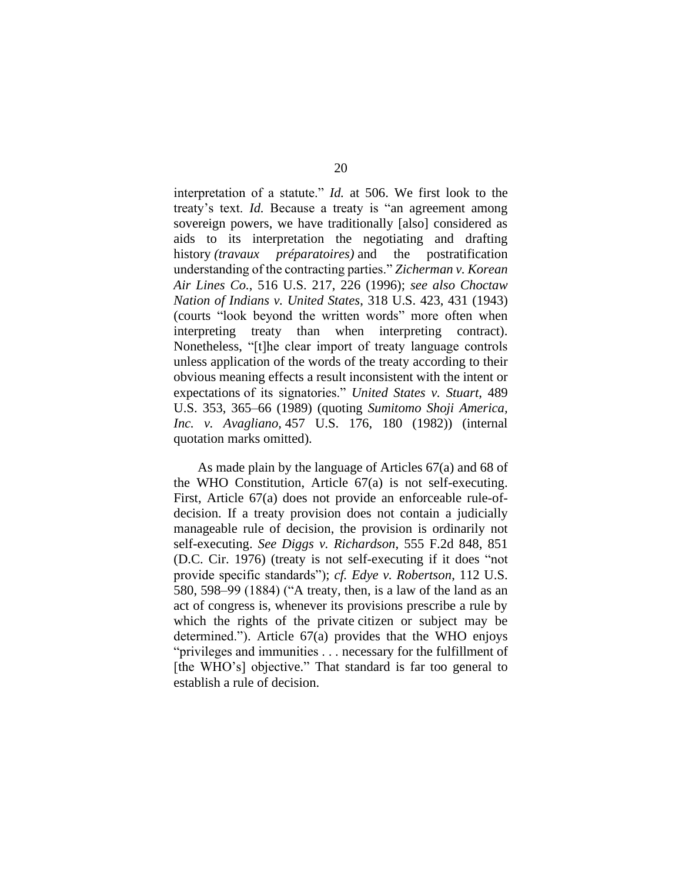interpretation of a statute." *Id.* at 506. We first look to the treaty's text. *Id.* Because a treaty is "an agreement among sovereign powers, we have traditionally [also] considered as aids to its interpretation the negotiating and drafting history *(travaux préparatoires)* and the postratification understanding of the contracting parties." *Zicherman v. Korean Air Lines Co.*, 516 U.S. 217, 226 (1996); *see also Choctaw Nation of Indians v. United States*, 318 U.S. 423, 431 (1943) (courts "look beyond the written words" more often when interpreting treaty than when interpreting contract). Nonetheless, "[t]he clear import of treaty language controls unless application of the words of the treaty according to their obvious meaning effects a result inconsistent with the intent or expectations of its signatories." *United States v. Stuart*, 489 U.S. 353, 365–66 (1989) (quoting *Sumitomo Shoji America, Inc. v. Avagliano,* 457 U.S. 176, 180 (1982)) (internal quotation marks omitted).

As made plain by the language of Articles 67(a) and 68 of the WHO Constitution, Article 67(a) is not self-executing. First, Article 67(a) does not provide an enforceable rule-ofdecision. If a treaty provision does not contain a judicially manageable rule of decision, the provision is ordinarily not self-executing. *See Diggs v. Richardson*, 555 F.2d 848, 851 (D.C. Cir. 1976) (treaty is not self-executing if it does "not provide specific standards"); *cf. Edye v. Robertson*, 112 U.S. 580, 598–99 (1884) ("A treaty, then, is a law of the land as an act of congress is, whenever its provisions prescribe a rule by which the rights of the private citizen or subject may be determined."). Article 67(a) provides that the WHO enjoys "privileges and immunities . . . necessary for the fulfillment of [the WHO's] objective." That standard is far too general to establish a rule of decision.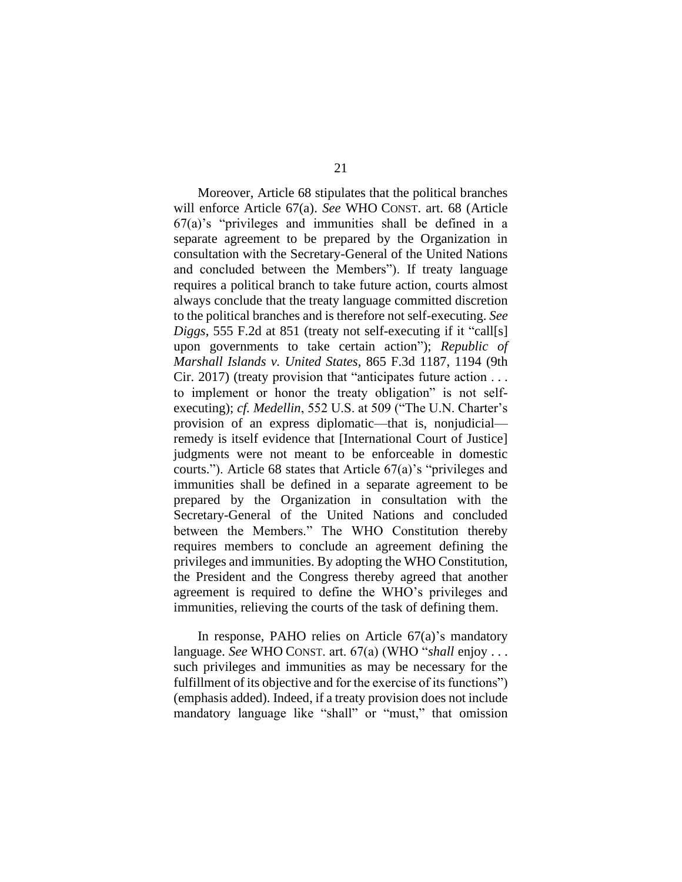Moreover, Article 68 stipulates that the political branches will enforce Article 67(a). *See* WHO CONST. art. 68 (Article 67(a)'s "privileges and immunities shall be defined in a separate agreement to be prepared by the Organization in consultation with the Secretary-General of the United Nations and concluded between the Members"). If treaty language requires a political branch to take future action, courts almost always conclude that the treaty language committed discretion to the political branches and is therefore not self-executing. *See Diggs*, 555 F.2d at 851 (treaty not self-executing if it "call[s] upon governments to take certain action"); *Republic of Marshall Islands v. United States*, 865 F.3d 1187, 1194 (9th Cir. 2017) (treaty provision that "anticipates future action . . . to implement or honor the treaty obligation" is not selfexecuting); *cf. Medellin*, 552 U.S. at 509 ("The U.N. Charter's provision of an express diplomatic—that is, nonjudicial remedy is itself evidence that [International Court of Justice] judgments were not meant to be enforceable in domestic courts."). Article 68 states that Article 67(a)'s "privileges and immunities shall be defined in a separate agreement to be prepared by the Organization in consultation with the Secretary-General of the United Nations and concluded between the Members." The WHO Constitution thereby requires members to conclude an agreement defining the privileges and immunities. By adopting the WHO Constitution, the President and the Congress thereby agreed that another agreement is required to define the WHO's privileges and immunities, relieving the courts of the task of defining them.

In response, PAHO relies on Article 67(a)'s mandatory language. *See* WHO CONST. art. 67(a) (WHO "*shall* enjoy . . . such privileges and immunities as may be necessary for the fulfillment of its objective and for the exercise of its functions") (emphasis added). Indeed, if a treaty provision does not include mandatory language like "shall" or "must," that omission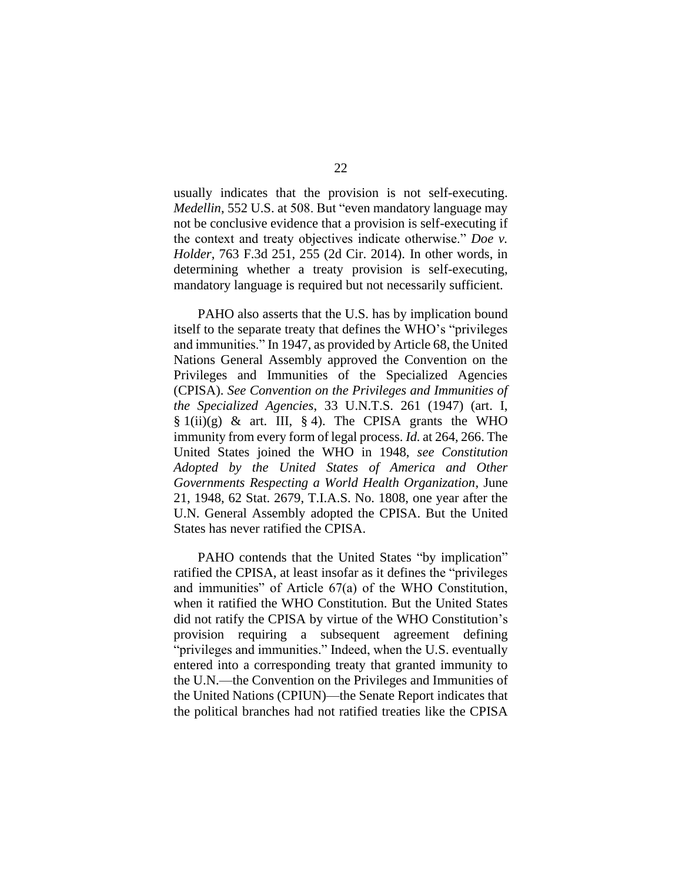usually indicates that the provision is not self-executing. *Medellin*, 552 U.S. at 508. But "even mandatory language may not be conclusive evidence that a provision is self-executing if the context and treaty objectives indicate otherwise." *Doe v. Holder*, 763 F.3d 251, 255 (2d Cir. 2014). In other words, in determining whether a treaty provision is self-executing, mandatory language is required but not necessarily sufficient.

PAHO also asserts that the U.S. has by implication bound itself to the separate treaty that defines the WHO's "privileges and immunities." In 1947, as provided by Article 68, the United Nations General Assembly approved the Convention on the Privileges and Immunities of the Specialized Agencies (CPISA). *See Convention on the Privileges and Immunities of the Specialized Agencies*, 33 U.N.T.S. 261 (1947) (art. I,  $\S 1(i)$ (g) & art. III,  $\S 4$ ). The CPISA grants the WHO immunity from every form of legal process. *Id.* at 264, 266. The United States joined the WHO in 1948, *see Constitution Adopted by the United States of America and Other Governments Respecting a World Health Organization*, June 21, 1948, 62 Stat. 2679, T.I.A.S. No. 1808, one year after the U.N. General Assembly adopted the CPISA. But the United States has never ratified the CPISA.

PAHO contends that the United States "by implication" ratified the CPISA, at least insofar as it defines the "privileges and immunities" of Article 67(a) of the WHO Constitution, when it ratified the WHO Constitution. But the United States did not ratify the CPISA by virtue of the WHO Constitution's provision requiring a subsequent agreement defining "privileges and immunities." Indeed, when the U.S. eventually entered into a corresponding treaty that granted immunity to the U.N.—the Convention on the Privileges and Immunities of the United Nations (CPIUN)—the Senate Report indicates that the political branches had not ratified treaties like the CPISA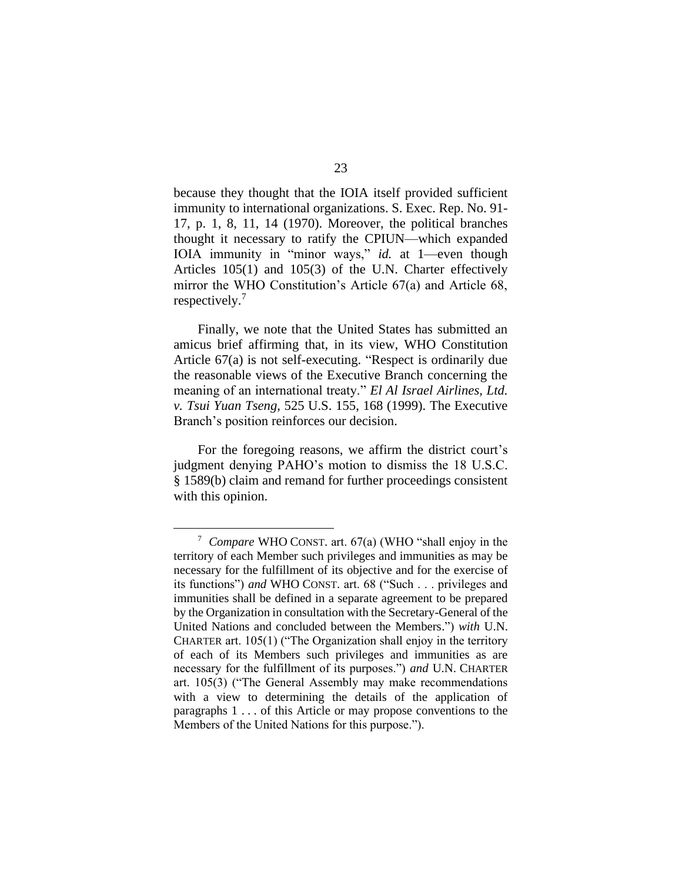because they thought that the IOIA itself provided sufficient immunity to international organizations. S. Exec. Rep. No. 91- 17, p. 1, 8, 11, 14 (1970). Moreover, the political branches thought it necessary to ratify the CPIUN—which expanded IOIA immunity in "minor ways," *id.* at 1—even though Articles 105(1) and 105(3) of the U.N. Charter effectively mirror the WHO Constitution's Article 67(a) and Article 68, respectively.<sup>7</sup>

Finally, we note that the United States has submitted an amicus brief affirming that, in its view, WHO Constitution Article 67(a) is not self-executing. "Respect is ordinarily due the reasonable views of the Executive Branch concerning the meaning of an international treaty." *El Al Israel Airlines, Ltd. v. Tsui Yuan Tseng*, 525 U.S. 155, 168 (1999). The Executive Branch's position reinforces our decision.

For the foregoing reasons, we affirm the district court's judgment denying PAHO's motion to dismiss the 18 U.S.C. § 1589(b) claim and remand for further proceedings consistent with this opinion.

<sup>7</sup>  *Compare* WHO CONST. art. 67(a) (WHO "shall enjoy in the territory of each Member such privileges and immunities as may be necessary for the fulfillment of its objective and for the exercise of its functions") *and* WHO CONST. art. 68 ("Such . . . privileges and immunities shall be defined in a separate agreement to be prepared by the Organization in consultation with the Secretary-General of the United Nations and concluded between the Members.") *with* U.N. CHARTER art. 105(1) ("The Organization shall enjoy in the territory of each of its Members such privileges and immunities as are necessary for the fulfillment of its purposes.") *and* U.N. CHARTER art. 105(3) ("The General Assembly may make recommendations with a view to determining the details of the application of paragraphs 1 . . . of this Article or may propose conventions to the Members of the United Nations for this purpose.").